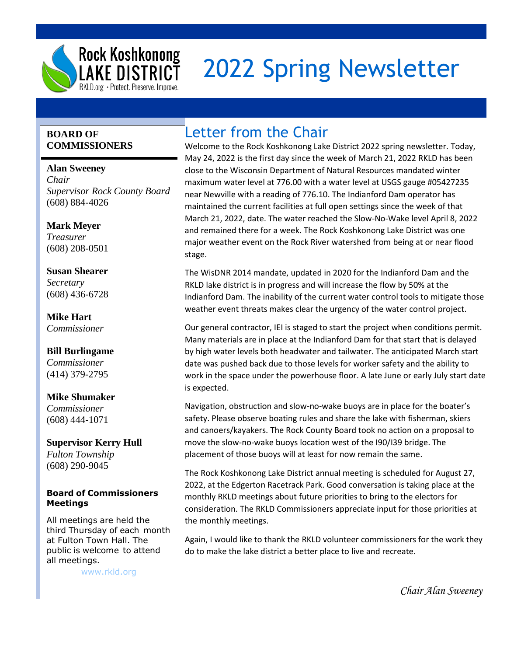

## 2022 Spring Newsletter

## **BOARD OF COMMISSIONERS**

**Alan Sweeney** *Chair Supervisor Rock County Board* (608) 884-4026

**Mark Meyer** *Treasurer* (608) 208-0501

**Susan Shearer** *Secretary* (608) 436-6728

**Mike Hart** *Commissioner*

**Bill Burlingame** *Commissioner* (414) 379-2795

**Mike Shumaker** *Commissioner* (608) 444-1071

**Supervisor Kerry Hull** *Fulton Township* (608) 290-9045

## **Board of Commissioners Meetings**

All meetings are held the third Thursday of each month at Fulton Town Hall. The public is welcome to attend all meetings.

[www.rkld.org](http://www.rkld.org/)

## Letter from the Chair

Welcome to the Rock Koshkonong Lake District 2022 spring newsletter. Today, May 24, 2022 is the first day since the week of March 21, 2022 RKLD has been close to the Wisconsin Department of Natural Resources mandated winter maximum water level at 776.00 with a water level at USGS gauge #05427235 near Newville with a reading of 776.10. The Indianford Dam operator has maintained the current facilities at full open settings since the week of that March 21, 2022, date. The water reached the Slow-No-Wake level April 8, 2022 and remained there for a week. The Rock Koshkonong Lake District was one major weather event on the Rock River watershed from being at or near flood stage.

The WisDNR 2014 mandate, updated in 2020 for the Indianford Dam and the RKLD lake district is in progress and will increase the flow by 50% at the Indianford Dam. The inability of the current water control tools to mitigate those weather event threats makes clear the urgency of the water control project.

Our general contractor, IEI is staged to start the project when conditions permit. Many materials are in place at the Indianford Dam for that start that is delayed by high water levels both headwater and tailwater. The anticipated March start date was pushed back due to those levels for worker safety and the ability to work in the space under the powerhouse floor. A late June or early July start date is expected.

Navigation, obstruction and slow-no-wake buoys are in place for the boater's safety. Please observe boating rules and share the lake with fisherman, skiers and canoers/kayakers. The Rock County Board took no action on a proposal to move the slow-no-wake buoys location west of the I90/I39 bridge. The placement of those buoys will at least for now remain the same.

The Rock Koshkonong Lake District annual meeting is scheduled for August 27, 2022, at the Edgerton Racetrack Park. Good conversation is taking place at the monthly RKLD meetings about future priorities to bring to the electors for consideration. The RKLD Commissioners appreciate input for those priorities at the monthly meetings.

Again, I would like to thank the RKLD volunteer commissioners for the work they do to make the lake district a better place to live and recreate.

*Chair Alan Sweeney*